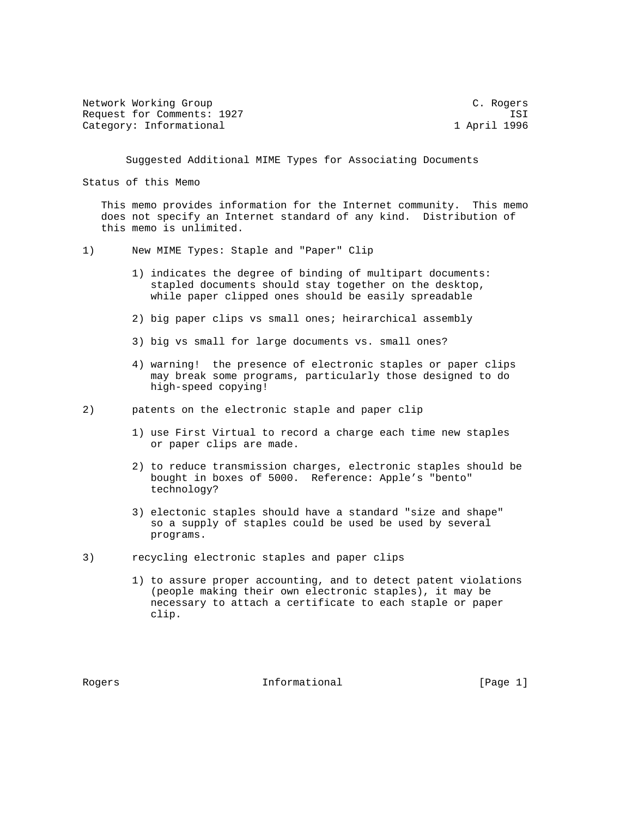| Network Working Group      |              | C. Rogers |
|----------------------------|--------------|-----------|
| Request for Comments: 1927 |              | ISI       |
| Category: Informational    | 1 April 1996 |           |

Suggested Additional MIME Types for Associating Documents

Status of this Memo

 This memo provides information for the Internet community. This memo does not specify an Internet standard of any kind. Distribution of this memo is unlimited.

- 1) New MIME Types: Staple and "Paper" Clip
	- 1) indicates the degree of binding of multipart documents: stapled documents should stay together on the desktop, while paper clipped ones should be easily spreadable
	- 2) big paper clips vs small ones; heirarchical assembly
	- 3) big vs small for large documents vs. small ones?
	- 4) warning! the presence of electronic staples or paper clips may break some programs, particularly those designed to do high-speed copying!

2) patents on the electronic staple and paper clip

- 1) use First Virtual to record a charge each time new staples or paper clips are made.
- 2) to reduce transmission charges, electronic staples should be bought in boxes of 5000. Reference: Apple's "bento" technology?
- 3) electonic staples should have a standard "size and shape" so a supply of staples could be used be used by several programs.
- 3) recycling electronic staples and paper clips
	- 1) to assure proper accounting, and to detect patent violations (people making their own electronic staples), it may be necessary to attach a certificate to each staple or paper clip.

Rogers **Informational Informational** [Page 1]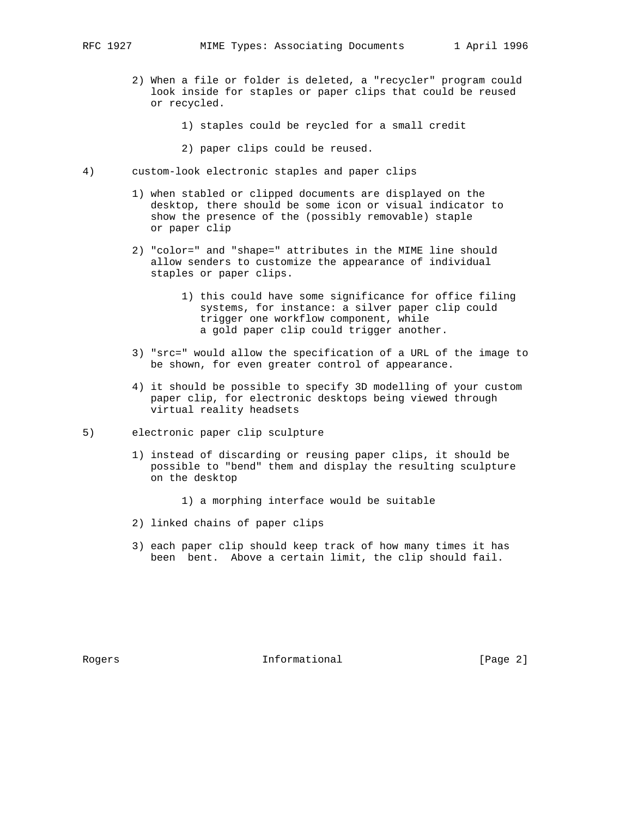- 2) When a file or folder is deleted, a "recycler" program could look inside for staples or paper clips that could be reused or recycled.
	- 1) staples could be reycled for a small credit
	- 2) paper clips could be reused.
- 4) custom-look electronic staples and paper clips
	- 1) when stabled or clipped documents are displayed on the desktop, there should be some icon or visual indicator to show the presence of the (possibly removable) staple or paper clip
	- 2) "color=" and "shape=" attributes in the MIME line should allow senders to customize the appearance of individual staples or paper clips.
		- 1) this could have some significance for office filing systems, for instance: a silver paper clip could trigger one workflow component, while a gold paper clip could trigger another.
	- 3) "src=" would allow the specification of a URL of the image to be shown, for even greater control of appearance.
	- 4) it should be possible to specify 3D modelling of your custom paper clip, for electronic desktops being viewed through virtual reality headsets
- 5) electronic paper clip sculpture
	- 1) instead of discarding or reusing paper clips, it should be possible to "bend" them and display the resulting sculpture on the desktop
		- 1) a morphing interface would be suitable
	- 2) linked chains of paper clips
	- 3) each paper clip should keep track of how many times it has been bent. Above a certain limit, the clip should fail.

Rogers **Informational Informational** [Page 2]